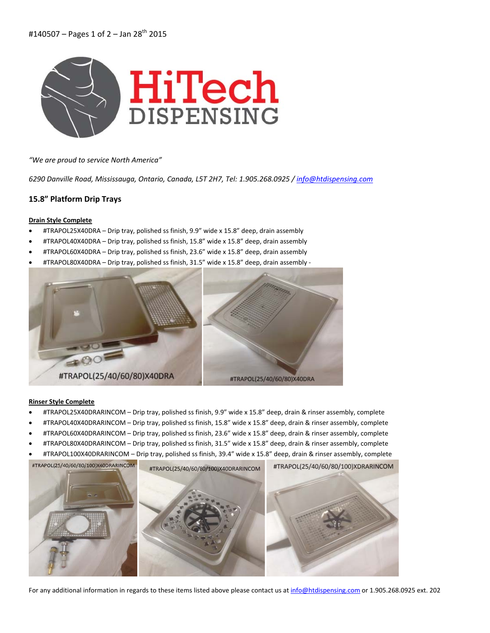

*"We are proud to service North America"*

*6290 Danville Road, Mississauga, Ontario, Canada, L5T 2H7, Tel: 1.905.268.0925 / info@htdispensing.com*

## **15.8" Platform Drip Trays**

#### **Drain Style Complete**

- #TRAPOL25X40DRA Drip tray, polished ss finish, 9.9" wide x 15.8" deep, drain assembly
- #TRAPOL40X40DRA Drip tray, polished ss finish, 15.8" wide x 15.8" deep, drain assembly
- #TRAPOL60X40DRA Drip tray, polished ss finish, 23.6" wide x 15.8" deep, drain assembly
- #TRAPOL80X40DRA Drip tray, polished ss finish, 31.5" wide x 15.8" deep, drain assembly ‐



#### **Rinser Style Complete**

- #TRAPOL25X40DRARINCOM Drip tray, polished ss finish, 9.9" wide x 15.8" deep, drain & rinser assembly, complete
- #TRAPOL40X40DRARINCOM Drip tray, polished ss finish, 15.8" wide x 15.8" deep, drain & rinser assembly, complete
- #TRAPOL60X40DRARINCOM Drip tray, polished ss finish, 23.6" wide x 15.8" deep, drain & rinser assembly, complete
- #TRAPOL80X40DRARINCOM Drip tray, polished ss finish, 31.5" wide x 15.8" deep, drain & rinser assembly, complete
- #TRAPOL100X40DRARINCOM Drip tray, polished ss finish, 39.4" wide x 15.8" deep, drain & rinser assembly, complete



For any additional information in regards to these items listed above please contact us at info@htdispensing.com or 1.905.268.0925 ext. 202